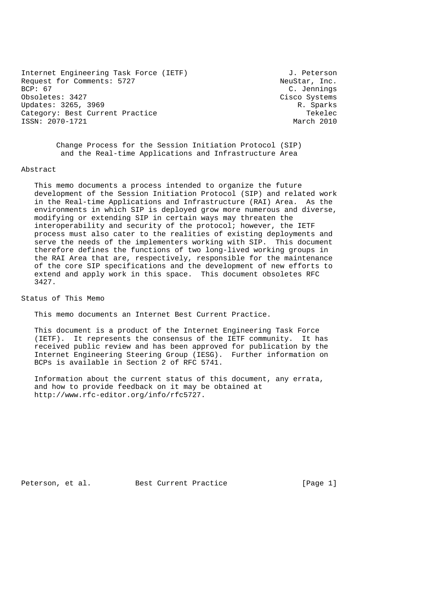Internet Engineering Task Force (IETF) 3. Peterson Request for Comments: 5727 NeuStar, Inc.<br>BCP: 67 C. Jennings Obsoletes: 3427 Cisco Systems Updates: 3265, 3969 R. Sparks Category: Best Current Practice Text Controller Category: Best Current Practice ISSN: 2070-1721 March 2010

C. Jennings

 Change Process for the Session Initiation Protocol (SIP) and the Real-time Applications and Infrastructure Area

### Abstract

 This memo documents a process intended to organize the future development of the Session Initiation Protocol (SIP) and related work in the Real-time Applications and Infrastructure (RAI) Area. As the environments in which SIP is deployed grow more numerous and diverse, modifying or extending SIP in certain ways may threaten the interoperability and security of the protocol; however, the IETF process must also cater to the realities of existing deployments and serve the needs of the implementers working with SIP. This document therefore defines the functions of two long-lived working groups in the RAI Area that are, respectively, responsible for the maintenance of the core SIP specifications and the development of new efforts to extend and apply work in this space. This document obsoletes RFC 3427.

Status of This Memo

This memo documents an Internet Best Current Practice.

 This document is a product of the Internet Engineering Task Force (IETF). It represents the consensus of the IETF community. It has received public review and has been approved for publication by the Internet Engineering Steering Group (IESG). Further information on BCPs is available in Section 2 of RFC 5741.

 Information about the current status of this document, any errata, and how to provide feedback on it may be obtained at http://www.rfc-editor.org/info/rfc5727.

Peterson, et al. Best Current Practice [Page 1]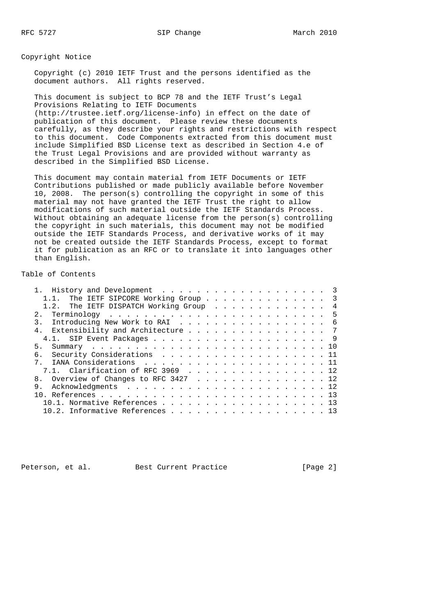Copyright Notice

 Copyright (c) 2010 IETF Trust and the persons identified as the document authors. All rights reserved.

 This document is subject to BCP 78 and the IETF Trust's Legal Provisions Relating to IETF Documents (http://trustee.ietf.org/license-info) in effect on the date of publication of this document. Please review these documents carefully, as they describe your rights and restrictions with respect to this document. Code Components extracted from this document must include Simplified BSD License text as described in Section 4.e of the Trust Legal Provisions and are provided without warranty as described in the Simplified BSD License.

 This document may contain material from IETF Documents or IETF Contributions published or made publicly available before November 10, 2008. The person(s) controlling the copyright in some of this material may not have granted the IETF Trust the right to allow modifications of such material outside the IETF Standards Process. Without obtaining an adequate license from the person(s) controlling the copyright in such materials, this document may not be modified outside the IETF Standards Process, and derivative works of it may not be created outside the IETF Standards Process, except to format it for publication as an RFC or to translate it into languages other than English.

Table of Contents

| 1.1. The IETF SIPCORE Working Group 3  |  |
|----------------------------------------|--|
| 1.2. The IETF DISPATCH Working Group 4 |  |
|                                        |  |
| 3. Introducing New Work to RAI 6       |  |
| 4. Extensibility and Architecture 7    |  |
|                                        |  |
|                                        |  |
| 6. Security Considerations 11          |  |
|                                        |  |
| 7.1. Clarification of RFC 3969 12      |  |
| 8. Overview of Changes to RFC 3427 12  |  |
| 9                                      |  |
|                                        |  |
| 10.1. Normative References 13          |  |
| 10.2. Informative References 13        |  |

Peterson, et al. Best Current Practice [Page 2]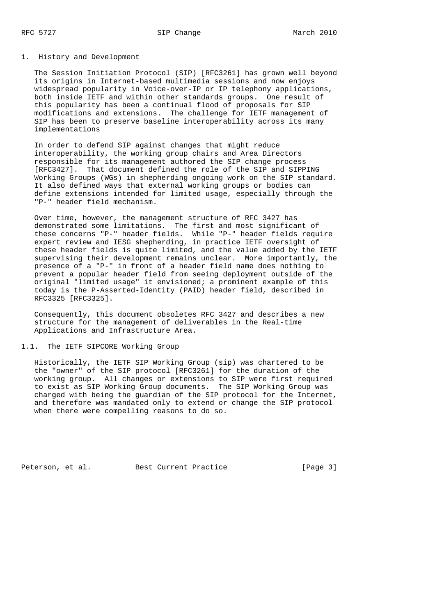### 1. History and Development

 The Session Initiation Protocol (SIP) [RFC3261] has grown well beyond its origins in Internet-based multimedia sessions and now enjoys widespread popularity in Voice-over-IP or IP telephony applications, both inside IETF and within other standards groups. One result of this popularity has been a continual flood of proposals for SIP modifications and extensions. The challenge for IETF management of SIP has been to preserve baseline interoperability across its many implementations

 In order to defend SIP against changes that might reduce interoperability, the working group chairs and Area Directors responsible for its management authored the SIP change process [RFC3427]. That document defined the role of the SIP and SIPPING Working Groups (WGs) in shepherding ongoing work on the SIP standard. It also defined ways that external working groups or bodies can define extensions intended for limited usage, especially through the "P-" header field mechanism.

 Over time, however, the management structure of RFC 3427 has demonstrated some limitations. The first and most significant of these concerns "P-" header fields. While "P-" header fields require expert review and IESG shepherding, in practice IETF oversight of these header fields is quite limited, and the value added by the IETF supervising their development remains unclear. More importantly, the presence of a "P-" in front of a header field name does nothing to prevent a popular header field from seeing deployment outside of the original "limited usage" it envisioned; a prominent example of this today is the P-Asserted-Identity (PAID) header field, described in RFC3325 [RFC3325].

 Consequently, this document obsoletes RFC 3427 and describes a new structure for the management of deliverables in the Real-time Applications and Infrastructure Area.

# 1.1. The IETF SIPCORE Working Group

 Historically, the IETF SIP Working Group (sip) was chartered to be the "owner" of the SIP protocol [RFC3261] for the duration of the working group. All changes or extensions to SIP were first required to exist as SIP Working Group documents. The SIP Working Group was charged with being the guardian of the SIP protocol for the Internet, and therefore was mandated only to extend or change the SIP protocol when there were compelling reasons to do so.

Peterson, et al. Best Current Practice [Page 3]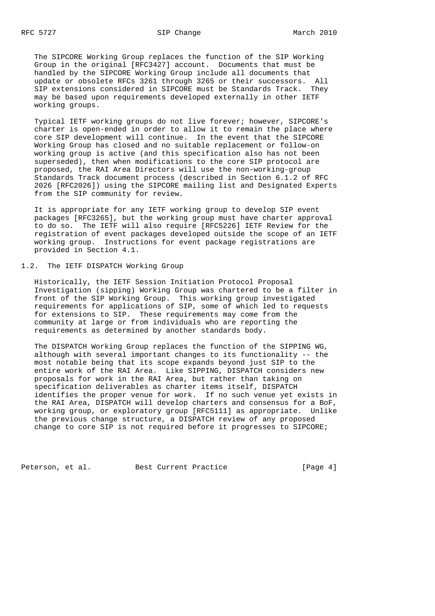The SIPCORE Working Group replaces the function of the SIP Working Group in the original [RFC3427] account. Documents that must be handled by the SIPCORE Working Group include all documents that update or obsolete RFCs 3261 through 3265 or their successors. All SIP extensions considered in SIPCORE must be Standards Track. They may be based upon requirements developed externally in other IETF working groups.

 Typical IETF working groups do not live forever; however, SIPCORE's charter is open-ended in order to allow it to remain the place where core SIP development will continue. In the event that the SIPCORE Working Group has closed and no suitable replacement or follow-on working group is active (and this specification also has not been superseded), then when modifications to the core SIP protocol are proposed, the RAI Area Directors will use the non-working-group Standards Track document process (described in Section 6.1.2 of RFC 2026 [RFC2026]) using the SIPCORE mailing list and Designated Experts from the SIP community for review.

 It is appropriate for any IETF working group to develop SIP event packages [RFC3265], but the working group must have charter approval to do so. The IETF will also require [RFC5226] IETF Review for the registration of event packages developed outside the scope of an IETF working group. Instructions for event package registrations are provided in Section 4.1.

# 1.2. The IETF DISPATCH Working Group

 Historically, the IETF Session Initiation Protocol Proposal Investigation (sipping) Working Group was chartered to be a filter in front of the SIP Working Group. This working group investigated requirements for applications of SIP, some of which led to requests for extensions to SIP. These requirements may come from the community at large or from individuals who are reporting the requirements as determined by another standards body.

 The DISPATCH Working Group replaces the function of the SIPPING WG, although with several important changes to its functionality -- the most notable being that its scope expands beyond just SIP to the entire work of the RAI Area. Like SIPPING, DISPATCH considers new proposals for work in the RAI Area, but rather than taking on specification deliverables as charter items itself, DISPATCH identifies the proper venue for work. If no such venue yet exists in the RAI Area, DISPATCH will develop charters and consensus for a BoF, working group, or exploratory group [RFC5111] as appropriate. Unlike the previous change structure, a DISPATCH review of any proposed change to core SIP is not required before it progresses to SIPCORE;

Peterson, et al. Best Current Practice [Page 4]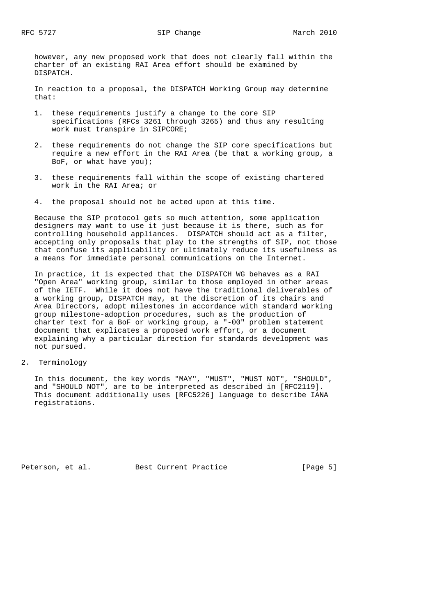however, any new proposed work that does not clearly fall within the charter of an existing RAI Area effort should be examined by DISPATCH.

 In reaction to a proposal, the DISPATCH Working Group may determine that:

- 1. these requirements justify a change to the core SIP specifications (RFCs 3261 through 3265) and thus any resulting work must transpire in SIPCORE;
- 2. these requirements do not change the SIP core specifications but require a new effort in the RAI Area (be that a working group, a BoF, or what have you);
- 3. these requirements fall within the scope of existing chartered work in the RAI Area; or
- 4. the proposal should not be acted upon at this time.

 Because the SIP protocol gets so much attention, some application designers may want to use it just because it is there, such as for controlling household appliances. DISPATCH should act as a filter, accepting only proposals that play to the strengths of SIP, not those that confuse its applicability or ultimately reduce its usefulness as a means for immediate personal communications on the Internet.

 In practice, it is expected that the DISPATCH WG behaves as a RAI "Open Area" working group, similar to those employed in other areas of the IETF. While it does not have the traditional deliverables of a working group, DISPATCH may, at the discretion of its chairs and Area Directors, adopt milestones in accordance with standard working group milestone-adoption procedures, such as the production of charter text for a BoF or working group, a "-00" problem statement document that explicates a proposed work effort, or a document explaining why a particular direction for standards development was not pursued.

2. Terminology

 In this document, the key words "MAY", "MUST", "MUST NOT", "SHOULD", and "SHOULD NOT", are to be interpreted as described in [RFC2119]. This document additionally uses [RFC5226] language to describe IANA registrations.

Peterson, et al. Best Current Practice [Page 5]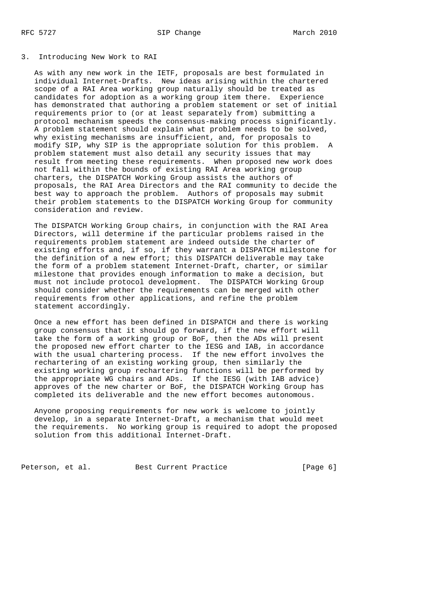#### 3. Introducing New Work to RAI

 As with any new work in the IETF, proposals are best formulated in individual Internet-Drafts. New ideas arising within the chartered scope of a RAI Area working group naturally should be treated as candidates for adoption as a working group item there. Experience has demonstrated that authoring a problem statement or set of initial requirements prior to (or at least separately from) submitting a protocol mechanism speeds the consensus-making process significantly. A problem statement should explain what problem needs to be solved, why existing mechanisms are insufficient, and, for proposals to modify SIP, why SIP is the appropriate solution for this problem. A problem statement must also detail any security issues that may result from meeting these requirements. When proposed new work does not fall within the bounds of existing RAI Area working group charters, the DISPATCH Working Group assists the authors of proposals, the RAI Area Directors and the RAI community to decide the best way to approach the problem. Authors of proposals may submit their problem statements to the DISPATCH Working Group for community consideration and review.

 The DISPATCH Working Group chairs, in conjunction with the RAI Area Directors, will determine if the particular problems raised in the requirements problem statement are indeed outside the charter of existing efforts and, if so, if they warrant a DISPATCH milestone for the definition of a new effort; this DISPATCH deliverable may take the form of a problem statement Internet-Draft, charter, or similar milestone that provides enough information to make a decision, but must not include protocol development. The DISPATCH Working Group should consider whether the requirements can be merged with other requirements from other applications, and refine the problem statement accordingly.

 Once a new effort has been defined in DISPATCH and there is working group consensus that it should go forward, if the new effort will take the form of a working group or BoF, then the ADs will present the proposed new effort charter to the IESG and IAB, in accordance with the usual chartering process. If the new effort involves the rechartering of an existing working group, then similarly the existing working group rechartering functions will be performed by the appropriate WG chairs and ADs. If the IESG (with IAB advice) approves of the new charter or BoF, the DISPATCH Working Group has completed its deliverable and the new effort becomes autonomous.

 Anyone proposing requirements for new work is welcome to jointly develop, in a separate Internet-Draft, a mechanism that would meet the requirements. No working group is required to adopt the proposed solution from this additional Internet-Draft.

Peterson, et al. Best Current Practice [Page 6]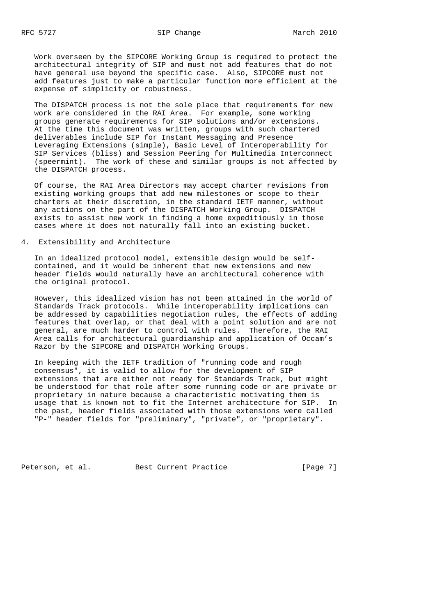Work overseen by the SIPCORE Working Group is required to protect the architectural integrity of SIP and must not add features that do not have general use beyond the specific case. Also, SIPCORE must not add features just to make a particular function more efficient at the expense of simplicity or robustness.

 The DISPATCH process is not the sole place that requirements for new work are considered in the RAI Area. For example, some working groups generate requirements for SIP solutions and/or extensions. At the time this document was written, groups with such chartered deliverables include SIP for Instant Messaging and Presence Leveraging Extensions (simple), Basic Level of Interoperability for SIP Services (bliss) and Session Peering for Multimedia Interconnect (speermint). The work of these and similar groups is not affected by the DISPATCH process.

 Of course, the RAI Area Directors may accept charter revisions from existing working groups that add new milestones or scope to their charters at their discretion, in the standard IETF manner, without any actions on the part of the DISPATCH Working Group. DISPATCH exists to assist new work in finding a home expeditiously in those cases where it does not naturally fall into an existing bucket.

# 4. Extensibility and Architecture

 In an idealized protocol model, extensible design would be self contained, and it would be inherent that new extensions and new header fields would naturally have an architectural coherence with the original protocol.

 However, this idealized vision has not been attained in the world of Standards Track protocols. While interoperability implications can be addressed by capabilities negotiation rules, the effects of adding features that overlap, or that deal with a point solution and are not general, are much harder to control with rules. Therefore, the RAI Area calls for architectural guardianship and application of Occam's Razor by the SIPCORE and DISPATCH Working Groups.

 In keeping with the IETF tradition of "running code and rough consensus", it is valid to allow for the development of SIP extensions that are either not ready for Standards Track, but might be understood for that role after some running code or are private or proprietary in nature because a characteristic motivating them is usage that is known not to fit the Internet architecture for SIP. In the past, header fields associated with those extensions were called "P-" header fields for "preliminary", "private", or "proprietary".

Peterson, et al. Best Current Practice [Page 7]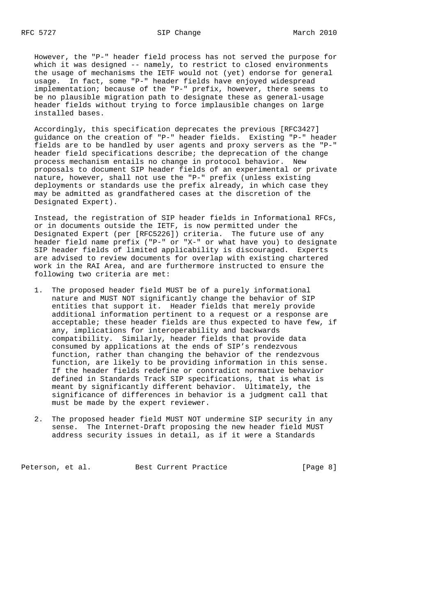However, the "P-" header field process has not served the purpose for which it was designed -- namely, to restrict to closed environments the usage of mechanisms the IETF would not (yet) endorse for general usage. In fact, some "P-" header fields have enjoyed widespread implementation; because of the "P-" prefix, however, there seems to be no plausible migration path to designate these as general-usage header fields without trying to force implausible changes on large installed bases.

 Accordingly, this specification deprecates the previous [RFC3427] guidance on the creation of "P-" header fields. Existing "P-" header fields are to be handled by user agents and proxy servers as the "P-" header field specifications describe; the deprecation of the change process mechanism entails no change in protocol behavior. New proposals to document SIP header fields of an experimental or private nature, however, shall not use the "P-" prefix (unless existing deployments or standards use the prefix already, in which case they may be admitted as grandfathered cases at the discretion of the Designated Expert).

 Instead, the registration of SIP header fields in Informational RFCs, or in documents outside the IETF, is now permitted under the Designated Expert (per [RFC5226]) criteria. The future use of any header field name prefix ("P-" or "X-" or what have you) to designate SIP header fields of limited applicability is discouraged. Experts are advised to review documents for overlap with existing chartered work in the RAI Area, and are furthermore instructed to ensure the following two criteria are met:

- 1. The proposed header field MUST be of a purely informational nature and MUST NOT significantly change the behavior of SIP entities that support it. Header fields that merely provide additional information pertinent to a request or a response are acceptable; these header fields are thus expected to have few, if any, implications for interoperability and backwards compatibility. Similarly, header fields that provide data consumed by applications at the ends of SIP's rendezvous function, rather than changing the behavior of the rendezvous function, are likely to be providing information in this sense. If the header fields redefine or contradict normative behavior defined in Standards Track SIP specifications, that is what is meant by significantly different behavior. Ultimately, the significance of differences in behavior is a judgment call that must be made by the expert reviewer.
- 2. The proposed header field MUST NOT undermine SIP security in any sense. The Internet-Draft proposing the new header field MUST address security issues in detail, as if it were a Standards

Peterson, et al. Best Current Practice [Page 8]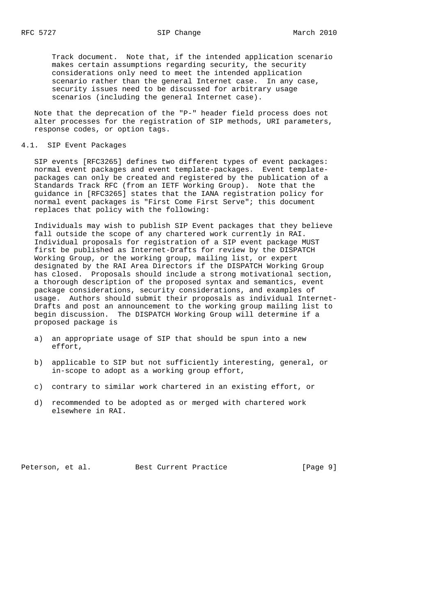Track document. Note that, if the intended application scenario makes certain assumptions regarding security, the security considerations only need to meet the intended application scenario rather than the general Internet case. In any case, security issues need to be discussed for arbitrary usage scenarios (including the general Internet case).

 Note that the deprecation of the "P-" header field process does not alter processes for the registration of SIP methods, URI parameters, response codes, or option tags.

#### 4.1. SIP Event Packages

 SIP events [RFC3265] defines two different types of event packages: normal event packages and event template-packages. Event template packages can only be created and registered by the publication of a Standards Track RFC (from an IETF Working Group). Note that the guidance in [RFC3265] states that the IANA registration policy for normal event packages is "First Come First Serve"; this document replaces that policy with the following:

 Individuals may wish to publish SIP Event packages that they believe fall outside the scope of any chartered work currently in RAI. Individual proposals for registration of a SIP event package MUST first be published as Internet-Drafts for review by the DISPATCH Working Group, or the working group, mailing list, or expert designated by the RAI Area Directors if the DISPATCH Working Group has closed. Proposals should include a strong motivational section, a thorough description of the proposed syntax and semantics, event package considerations, security considerations, and examples of usage. Authors should submit their proposals as individual Internet- Drafts and post an announcement to the working group mailing list to begin discussion. The DISPATCH Working Group will determine if a proposed package is

- a) an appropriate usage of SIP that should be spun into a new effort,
- b) applicable to SIP but not sufficiently interesting, general, or in-scope to adopt as a working group effort,
- c) contrary to similar work chartered in an existing effort, or
- d) recommended to be adopted as or merged with chartered work elsewhere in RAI.

Peterson, et al. Best Current Practice [Page 9]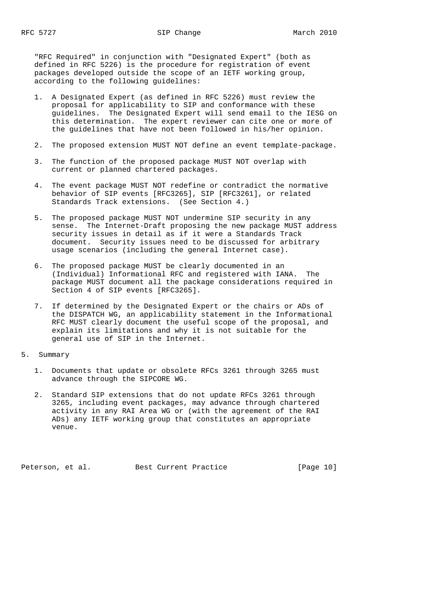"RFC Required" in conjunction with "Designated Expert" (both as defined in RFC 5226) is the procedure for registration of event packages developed outside the scope of an IETF working group, according to the following guidelines:

- 1. A Designated Expert (as defined in RFC 5226) must review the proposal for applicability to SIP and conformance with these guidelines. The Designated Expert will send email to the IESG on this determination. The expert reviewer can cite one or more of the guidelines that have not been followed in his/her opinion.
- 2. The proposed extension MUST NOT define an event template-package.
- 3. The function of the proposed package MUST NOT overlap with current or planned chartered packages.
- 4. The event package MUST NOT redefine or contradict the normative behavior of SIP events [RFC3265], SIP [RFC3261], or related Standards Track extensions. (See Section 4.)
- 5. The proposed package MUST NOT undermine SIP security in any sense. The Internet-Draft proposing the new package MUST address security issues in detail as if it were a Standards Track document. Security issues need to be discussed for arbitrary usage scenarios (including the general Internet case).
- 6. The proposed package MUST be clearly documented in an (Individual) Informational RFC and registered with IANA. The package MUST document all the package considerations required in Section 4 of SIP events [RFC3265].
- 7. If determined by the Designated Expert or the chairs or ADs of the DISPATCH WG, an applicability statement in the Informational RFC MUST clearly document the useful scope of the proposal, and explain its limitations and why it is not suitable for the general use of SIP in the Internet.
- 5. Summary
	- 1. Documents that update or obsolete RFCs 3261 through 3265 must advance through the SIPCORE WG.
	- 2. Standard SIP extensions that do not update RFCs 3261 through 3265, including event packages, may advance through chartered activity in any RAI Area WG or (with the agreement of the RAI ADs) any IETF working group that constitutes an appropriate venue.

Peterson, et al. Best Current Practice [Page 10]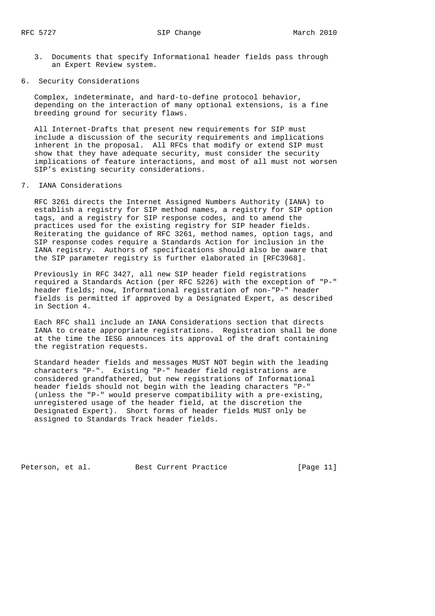- 3. Documents that specify Informational header fields pass through an Expert Review system.
- 6. Security Considerations

 Complex, indeterminate, and hard-to-define protocol behavior, depending on the interaction of many optional extensions, is a fine breeding ground for security flaws.

 All Internet-Drafts that present new requirements for SIP must include a discussion of the security requirements and implications inherent in the proposal. All RFCs that modify or extend SIP must show that they have adequate security, must consider the security implications of feature interactions, and most of all must not worsen SIP's existing security considerations.

7. IANA Considerations

 RFC 3261 directs the Internet Assigned Numbers Authority (IANA) to establish a registry for SIP method names, a registry for SIP option tags, and a registry for SIP response codes, and to amend the practices used for the existing registry for SIP header fields. Reiterating the guidance of RFC 3261, method names, option tags, and SIP response codes require a Standards Action for inclusion in the IANA registry. Authors of specifications should also be aware that the SIP parameter registry is further elaborated in [RFC3968].

 Previously in RFC 3427, all new SIP header field registrations required a Standards Action (per RFC 5226) with the exception of "P-" header fields; now, Informational registration of non-"P-" header fields is permitted if approved by a Designated Expert, as described in Section 4.

 Each RFC shall include an IANA Considerations section that directs IANA to create appropriate registrations. Registration shall be done at the time the IESG announces its approval of the draft containing the registration requests.

 Standard header fields and messages MUST NOT begin with the leading characters "P-". Existing "P-" header field registrations are considered grandfathered, but new registrations of Informational header fields should not begin with the leading characters "P-" (unless the "P-" would preserve compatibility with a pre-existing, unregistered usage of the header field, at the discretion the Designated Expert). Short forms of header fields MUST only be assigned to Standards Track header fields.

Peterson, et al. Best Current Practice [Page 11]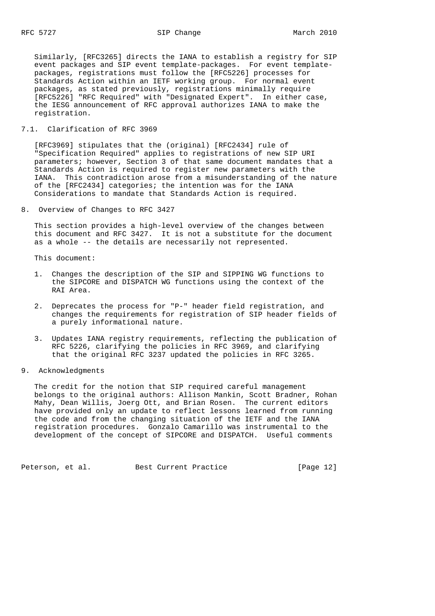RFC 5727 SIP Change March 2010

 Similarly, [RFC3265] directs the IANA to establish a registry for SIP event packages and SIP event template-packages. For event template packages, registrations must follow the [RFC5226] processes for Standards Action within an IETF working group. For normal event packages, as stated previously, registrations minimally require [RFC5226] "RFC Required" with "Designated Expert". In either case, the IESG announcement of RFC approval authorizes IANA to make the registration.

# 7.1. Clarification of RFC 3969

 [RFC3969] stipulates that the (original) [RFC2434] rule of "Specification Required" applies to registrations of new SIP URI parameters; however, Section 3 of that same document mandates that a Standards Action is required to register new parameters with the IANA. This contradiction arose from a misunderstanding of the nature of the [RFC2434] categories; the intention was for the IANA Considerations to mandate that Standards Action is required.

8. Overview of Changes to RFC 3427

 This section provides a high-level overview of the changes between this document and RFC 3427. It is not a substitute for the document as a whole -- the details are necessarily not represented.

This document:

- 1. Changes the description of the SIP and SIPPING WG functions to the SIPCORE and DISPATCH WG functions using the context of the RAI Area.
- 2. Deprecates the process for "P-" header field registration, and changes the requirements for registration of SIP header fields of a purely informational nature.
- 3. Updates IANA registry requirements, reflecting the publication of RFC 5226, clarifying the policies in RFC 3969, and clarifying that the original RFC 3237 updated the policies in RFC 3265.

## 9. Acknowledgments

 The credit for the notion that SIP required careful management belongs to the original authors: Allison Mankin, Scott Bradner, Rohan Mahy, Dean Willis, Joerg Ott, and Brian Rosen. The current editors have provided only an update to reflect lessons learned from running the code and from the changing situation of the IETF and the IANA registration procedures. Gonzalo Camarillo was instrumental to the development of the concept of SIPCORE and DISPATCH. Useful comments

Peterson, et al. Best Current Practice [Page 12]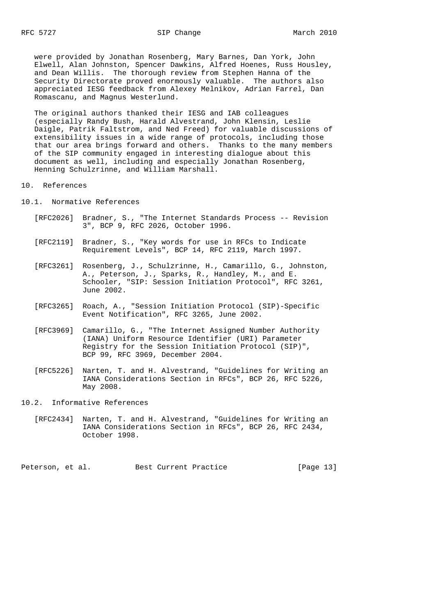were provided by Jonathan Rosenberg, Mary Barnes, Dan York, John Elwell, Alan Johnston, Spencer Dawkins, Alfred Hoenes, Russ Housley, and Dean Willis. The thorough review from Stephen Hanna of the Security Directorate proved enormously valuable. The authors also appreciated IESG feedback from Alexey Melnikov, Adrian Farrel, Dan Romascanu, and Magnus Westerlund.

 The original authors thanked their IESG and IAB colleagues (especially Randy Bush, Harald Alvestrand, John Klensin, Leslie Daigle, Patrik Faltstrom, and Ned Freed) for valuable discussions of extensibility issues in a wide range of protocols, including those that our area brings forward and others. Thanks to the many members of the SIP community engaged in interesting dialogue about this document as well, including and especially Jonathan Rosenberg, Henning Schulzrinne, and William Marshall.

### 10. References

10.1. Normative References

- [RFC2026] Bradner, S., "The Internet Standards Process -- Revision 3", BCP 9, RFC 2026, October 1996.
- [RFC2119] Bradner, S., "Key words for use in RFCs to Indicate Requirement Levels", BCP 14, RFC 2119, March 1997.
- [RFC3261] Rosenberg, J., Schulzrinne, H., Camarillo, G., Johnston, A., Peterson, J., Sparks, R., Handley, M., and E. Schooler, "SIP: Session Initiation Protocol", RFC 3261, June 2002.
- [RFC3265] Roach, A., "Session Initiation Protocol (SIP)-Specific Event Notification", RFC 3265, June 2002.
- [RFC3969] Camarillo, G., "The Internet Assigned Number Authority (IANA) Uniform Resource Identifier (URI) Parameter Registry for the Session Initiation Protocol (SIP)", BCP 99, RFC 3969, December 2004.
- [RFC5226] Narten, T. and H. Alvestrand, "Guidelines for Writing an IANA Considerations Section in RFCs", BCP 26, RFC 5226, May 2008.
- 10.2. Informative References
	- [RFC2434] Narten, T. and H. Alvestrand, "Guidelines for Writing an IANA Considerations Section in RFCs", BCP 26, RFC 2434, October 1998.

Peterson, et al. Best Current Practice [Page 13]